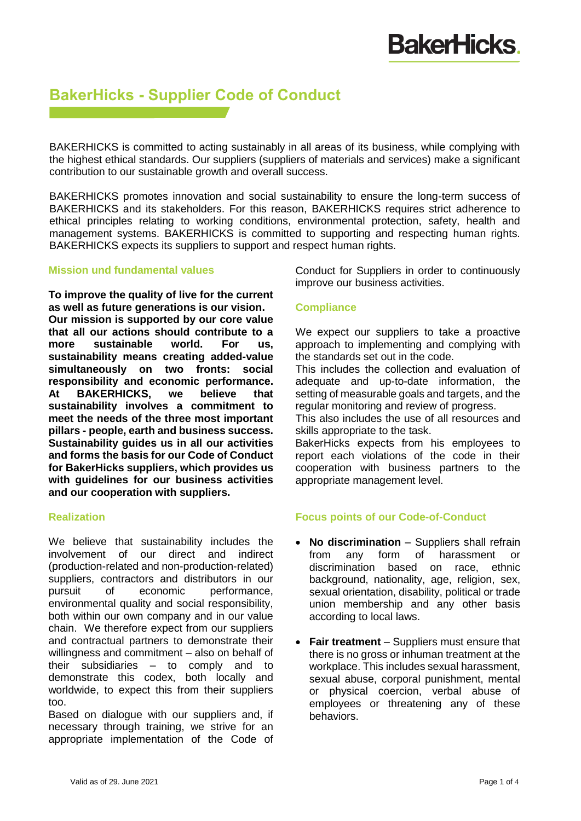### **BakerHicks - Supplier Code of Conduct**

BAKERHICKS is committed to acting sustainably in all areas of its business, while complying with the highest ethical standards. Our suppliers (suppliers of materials and services) make a significant contribution to our sustainable growth and overall success.

BAKERHICKS promotes innovation and social sustainability to ensure the long-term success of BAKERHICKS and its stakeholders. For this reason, BAKERHICKS requires strict adherence to ethical principles relating to working conditions, environmental protection, safety, health and management systems. BAKERHICKS is committed to supporting and respecting human rights. BAKERHICKS expects its suppliers to support and respect human rights.

#### **Mission und fundamental values**

**To improve the quality of live for the current as well as future generations is our vision. Our mission is supported by our core value that all our actions should contribute to a more sustainable world. For us, sustainability means creating added-value simultaneously on two fronts: social responsibility and economic performance. At BAKERHICKS, we believe that sustainability involves a commitment to meet the needs of the three most important pillars - people, earth and business success. Sustainability guides us in all our activities and forms the basis for our Code of Conduct for BakerHicks suppliers, which provides us with guidelines for our business activities and our cooperation with suppliers.** 

#### **Realization**

We believe that sustainability includes the involvement of our direct and indirect (production-related and non-production-related) suppliers, contractors and distributors in our pursuit of economic performance, environmental quality and social responsibility, both within our own company and in our value chain. We therefore expect from our suppliers and contractual partners to demonstrate their willingness and commitment – also on behalf of their subsidiaries – to comply and to demonstrate this codex, both locally and worldwide, to expect this from their suppliers too.

Based on dialogue with our suppliers and, if necessary through training, we strive for an appropriate implementation of the Code of

Conduct for Suppliers in order to continuously improve our business activities.

#### **Compliance**

We expect our suppliers to take a proactive approach to implementing and complying with the standards set out in the code.

This includes the collection and evaluation of adequate and up-to-date information, the setting of measurable goals and targets, and the regular monitoring and review of progress.

This also includes the use of all resources and skills appropriate to the task.

BakerHicks expects from his employees to report each violations of the code in their cooperation with business partners to the appropriate management level.

#### **Focus points of our Code-of-Conduct**

- **No discrimination** Suppliers shall refrain from any form of harassment or discrimination based on race, ethnic background, nationality, age, religion, sex, sexual orientation, disability, political or trade union membership and any other basis according to local laws.
- **Fair treatment** Suppliers must ensure that there is no gross or inhuman treatment at the workplace. This includes sexual harassment, sexual abuse, corporal punishment, mental or physical coercion, verbal abuse of employees or threatening any of these behaviors.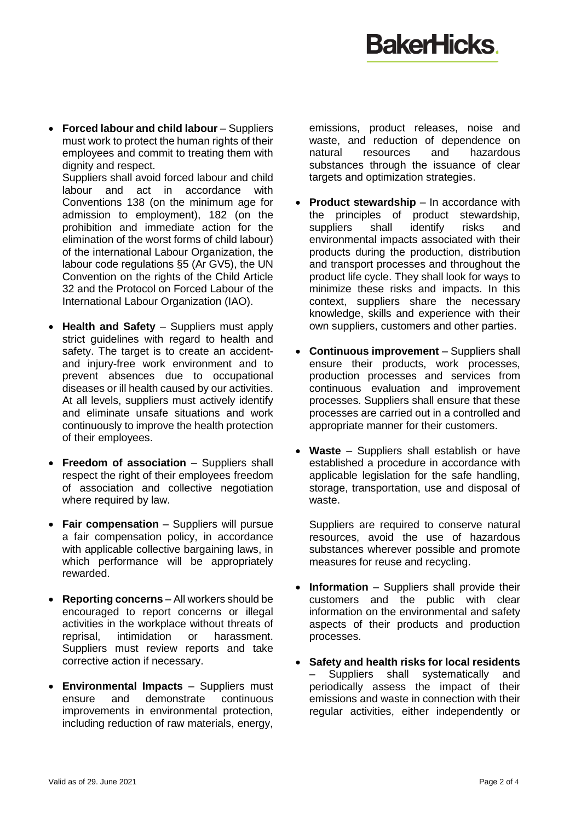## **BakerHicks**

 **Forced labour and child labour** – Suppliers must work to protect the human rights of their employees and commit to treating them with dignity and respect.

Suppliers shall avoid forced labour and child labour and act in accordance with Conventions 138 (on the minimum age for admission to employment), 182 (on the prohibition and immediate action for the elimination of the worst forms of child labour) of the international Labour Organization, the labour code regulations §5 (Ar GV5), the UN Convention on the rights of the Child Article 32 and the Protocol on Forced Labour of the International Labour Organization (IAO).

- **Health and Safety** Suppliers must apply strict quidelines with regard to health and safety. The target is to create an accidentand injury-free work environment and to prevent absences due to occupational diseases or ill health caused by our activities. At all levels, suppliers must actively identify and eliminate unsafe situations and work continuously to improve the health protection of their employees.
- **Freedom of association**  Suppliers shall respect the right of their employees freedom of association and collective negotiation where required by law.
- **Fair compensation** Suppliers will pursue a fair compensation policy, in accordance with applicable collective bargaining laws, in which performance will be appropriately rewarded.
- **Reporting concerns** All workers should be encouraged to report concerns or illegal activities in the workplace without threats of reprisal, intimidation or harassment. Suppliers must review reports and take corrective action if necessary.
- **Environmental Impacts** Suppliers must ensure and demonstrate continuous improvements in environmental protection, including reduction of raw materials, energy,

emissions, product releases, noise and waste, and reduction of dependence on natural resources and hazardous substances through the issuance of clear targets and optimization strategies.

- **Product stewardship** In accordance with the principles of product stewardship, suppliers shall identify risks and environmental impacts associated with their products during the production, distribution and transport processes and throughout the product life cycle. They shall look for ways to minimize these risks and impacts. In this context, suppliers share the necessary knowledge, skills and experience with their own suppliers, customers and other parties.
- **Continuous improvement** Suppliers shall ensure their products, work processes, production processes and services from continuous evaluation and improvement processes. Suppliers shall ensure that these processes are carried out in a controlled and appropriate manner for their customers.
- **Waste** Suppliers shall establish or have established a procedure in accordance with applicable legislation for the safe handling, storage, transportation, use and disposal of waste.

Suppliers are required to conserve natural resources, avoid the use of hazardous substances wherever possible and promote measures for reuse and recycling.

- **Information** Suppliers shall provide their customers and the public with clear information on the environmental and safety aspects of their products and production processes.
- **Safety and health risks for local residents**  Suppliers shall systematically and periodically assess the impact of their emissions and waste in connection with their regular activities, either independently or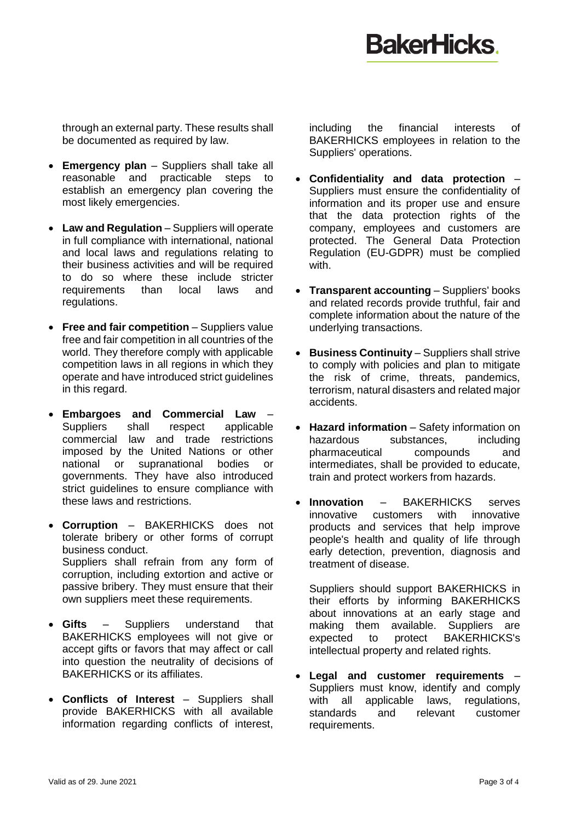## **BakerHicks**

through an external party. These results shall be documented as required by law.

- **Emergency plan** Suppliers shall take all reasonable and practicable steps to establish an emergency plan covering the most likely emergencies.
- **Law and Regulation** Suppliers will operate in full compliance with international, national and local laws and regulations relating to their business activities and will be required to do so where these include stricter requirements than local laws and regulations.
- **Free and fair competition** Suppliers value free and fair competition in all countries of the world. They therefore comply with applicable competition laws in all regions in which they operate and have introduced strict guidelines in this regard.
- **Embargoes and Commercial Law** Suppliers shall respect applicable commercial law and trade restrictions imposed by the United Nations or other national or supranational bodies or governments. They have also introduced strict guidelines to ensure compliance with these laws and restrictions.
- **Corruption** BAKERHICKS does not tolerate bribery or other forms of corrupt business conduct. Suppliers shall refrain from any form of corruption, including extortion and active or passive bribery. They must ensure that their own suppliers meet these requirements.
- **Gifts** Suppliers understand that BAKERHICKS employees will not give or accept gifts or favors that may affect or call into question the neutrality of decisions of BAKERHICKS or its affiliates.
- **Conflicts of Interest** Suppliers shall provide BAKERHICKS with all available information regarding conflicts of interest,

including the financial interests of BAKERHICKS employees in relation to the Suppliers' operations.

- **Confidentiality and data protection** Suppliers must ensure the confidentiality of information and its proper use and ensure that the data protection rights of the company, employees and customers are protected. The General Data Protection Regulation (EU-GDPR) must be complied with.
- **Transparent accounting** Suppliers' books and related records provide truthful, fair and complete information about the nature of the underlying transactions.
- **Business Continuity** Suppliers shall strive to comply with policies and plan to mitigate the risk of crime, threats, pandemics, terrorism, natural disasters and related major accidents.
- **Hazard information** Safety information on hazardous substances, including pharmaceutical compounds and intermediates, shall be provided to educate, train and protect workers from hazards.
- **Innovation** BAKERHICKS serves innovative customers with innovative products and services that help improve people's health and quality of life through early detection, prevention, diagnosis and treatment of disease.

Suppliers should support BAKERHICKS in their efforts by informing BAKERHICKS about innovations at an early stage and making them available. Suppliers are expected to protect BAKERHICKS's intellectual property and related rights.

 **Legal and customer requirements** – Suppliers must know, identify and comply with all applicable laws, regulations, standards and relevant customer requirements.